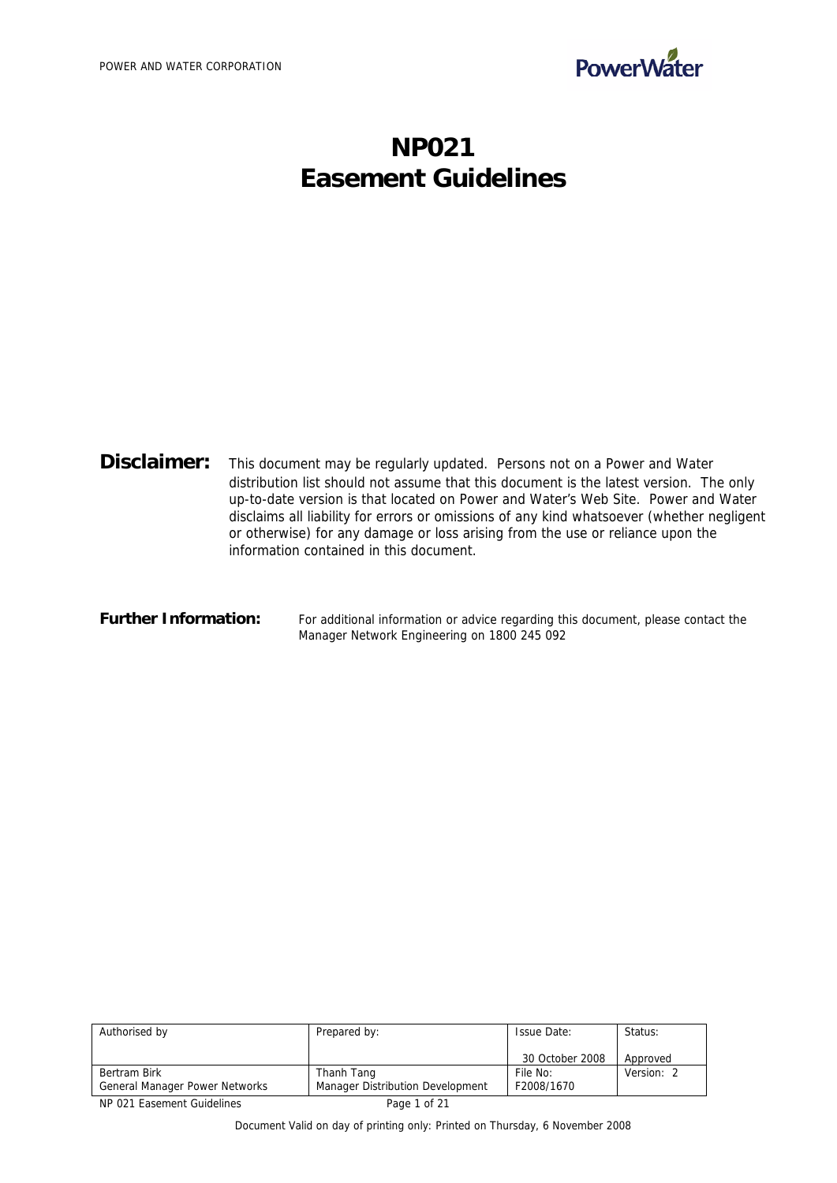

# **NP021 Easement Guidelines**

| Disclaimer:                                                                    | This document may be regularly updated. Persons not on a Power and Water                  |  |  |
|--------------------------------------------------------------------------------|-------------------------------------------------------------------------------------------|--|--|
|                                                                                | distribution list should not assume that this document is the latest version. The only    |  |  |
|                                                                                | up-to-date version is that located on Power and Water's Web Site. Power and Water         |  |  |
|                                                                                | disclaims all liability for errors or omissions of any kind whatsoever (whether negligent |  |  |
| or otherwise) for any damage or loss arising from the use or reliance upon the |                                                                                           |  |  |
|                                                                                | information contained in this document.                                                   |  |  |

#### Further Information: For additional information or advice regarding this document, please contact the Manager Network Engineering on 1800 245 092

| Authorised by                  | Prepared by:                     | <b>Issue Date:</b> | Status:    |
|--------------------------------|----------------------------------|--------------------|------------|
|                                |                                  | 30 October 2008    | Approved   |
| Bertram Birk                   | Thanh Tang                       | File No:           | Version: 2 |
| General Manager Power Networks | Manager Distribution Development | F2008/1670         |            |

NP 021 Easement Guidelines Page 1 of 21

Document Valid on day of printing only: Printed on Thursday, 6 November 2008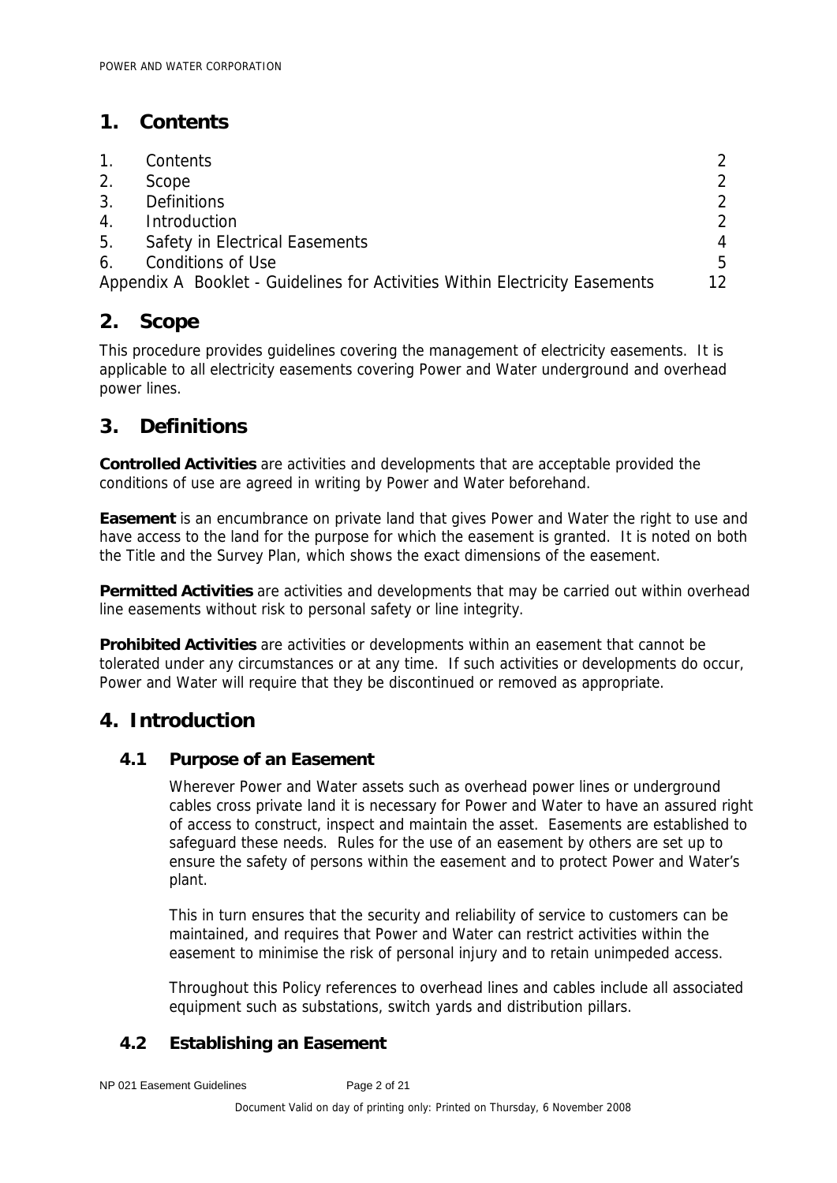## **1. Contents**

| $1_{\cdot}$    | Contents                                                                    |                 |
|----------------|-----------------------------------------------------------------------------|-----------------|
| 2.             | Scope                                                                       | $\mathcal{P}$   |
| 3 <sub>1</sub> | <b>Definitions</b>                                                          | $\mathcal{P}$   |
| 4.             | Introduction                                                                | $\mathcal{P}$   |
|                | 5. Safety in Electrical Easements                                           | 4               |
| 6.             | <b>Conditions of Use</b>                                                    | 5               |
|                | Appendix A Booklet - Guidelines for Activities Within Electricity Easements | 12 <sub>1</sub> |

## **2. Scope**

This procedure provides guidelines covering the management of electricity easements. It is applicable to all electricity easements covering Power and Water underground and overhead power lines.

## **3. Definitions**

**Controlled Activities** are activities and developments that are acceptable provided the conditions of use are agreed in writing by Power and Water beforehand.

**Easement** is an encumbrance on private land that gives Power and Water the right to use and have access to the land for the purpose for which the easement is granted. It is noted on both the Title and the Survey Plan, which shows the exact dimensions of the easement.

**Permitted Activities** are activities and developments that may be carried out within overhead line easements without risk to personal safety or line integrity.

**Prohibited Activities** are activities or developments within an easement that cannot be tolerated under any circumstances or at any time. If such activities or developments do occur, Power and Water will require that they be discontinued or removed as appropriate.

## **4. Introduction**

## **4.1 Purpose of an Easement**

Wherever Power and Water assets such as overhead power lines or underground cables cross private land it is necessary for Power and Water to have an assured right of access to construct, inspect and maintain the asset. Easements are established to safeguard these needs. Rules for the use of an easement by others are set up to ensure the safety of persons within the easement and to protect Power and Water's plant.

This in turn ensures that the security and reliability of service to customers can be maintained, and requires that Power and Water can restrict activities within the easement to minimise the risk of personal injury and to retain unimpeded access.

Throughout this Policy references to overhead lines and cables include all associated equipment such as substations, switch yards and distribution pillars.

## **4.2 Establishing an Easement**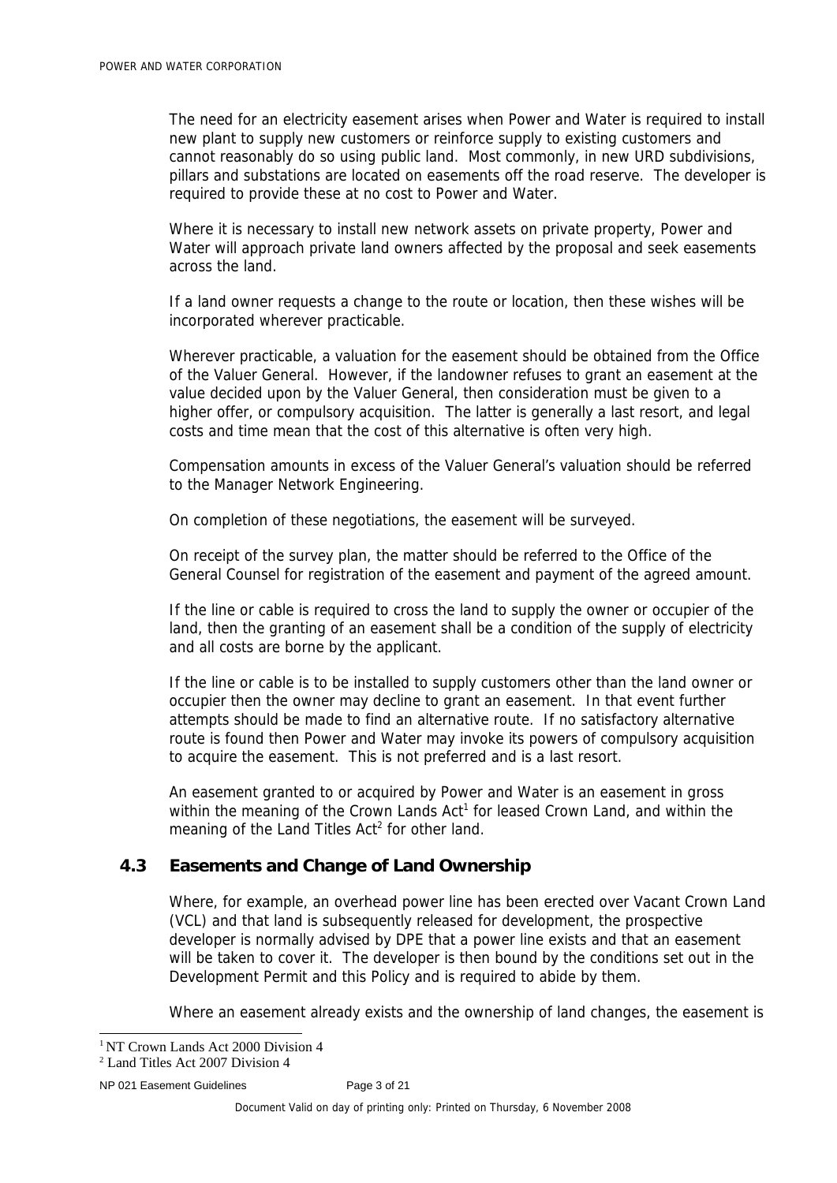The need for an electricity easement arises when Power and Water is required to install new plant to supply new customers or reinforce supply to existing customers and cannot reasonably do so using public land. Most commonly, in new URD subdivisions, pillars and substations are located on easements off the road reserve. The developer is required to provide these at no cost to Power and Water.

Where it is necessary to install new network assets on private property, Power and Water will approach private land owners affected by the proposal and seek easements across the land.

If a land owner requests a change to the route or location, then these wishes will be incorporated wherever practicable.

Wherever practicable, a valuation for the easement should be obtained from the Office of the Valuer General. However, if the landowner refuses to grant an easement at the value decided upon by the Valuer General, then consideration must be given to a higher offer, or compulsory acquisition. The latter is generally a last resort, and legal costs and time mean that the cost of this alternative is often very high.

Compensation amounts in excess of the Valuer General's valuation should be referred to the Manager Network Engineering.

On completion of these negotiations, the easement will be surveyed.

On receipt of the survey plan, the matter should be referred to the Office of the General Counsel for registration of the easement and payment of the agreed amount.

If the line or cable is required to cross the land to supply the owner or occupier of the land, then the granting of an easement shall be a condition of the supply of electricity and all costs are borne by the applicant.

If the line or cable is to be installed to supply customers other than the land owner or occupier then the owner may decline to grant an easement. In that event further attempts should be made to find an alternative route. If no satisfactory alternative route is found then Power and Water may invoke its powers of compulsory acquisition to acquire the easement. This is not preferred and is a last resort.

An easement granted to or acquired by Power and Water is an easement in gross within the meaning of the Crown Lands  $Act<sup>1</sup>$  for leased Crown Land, and within the meaning of the Land Titles Act<sup>2</sup> for other land.

## **4.3 Easements and Change of Land Ownership**

Where, for example, an overhead power line has been erected over Vacant Crown Land (VCL) and that land is subsequently released for development, the prospective developer is normally advised by DPE that a power line exists and that an easement will be taken to cover it. The developer is then bound by the conditions set out in the Development Permit and this Policy and is required to abide by them.

Where an easement already exists and the ownership of land changes, the easement is

```
NP 021 Easement Guidelines<br>
Page 3 of 21
```
<sup>&</sup>lt;sup>1</sup> NT Crown Lands Act 2000 Division 4

<sup>2</sup> Land Titles Act 2007 Division 4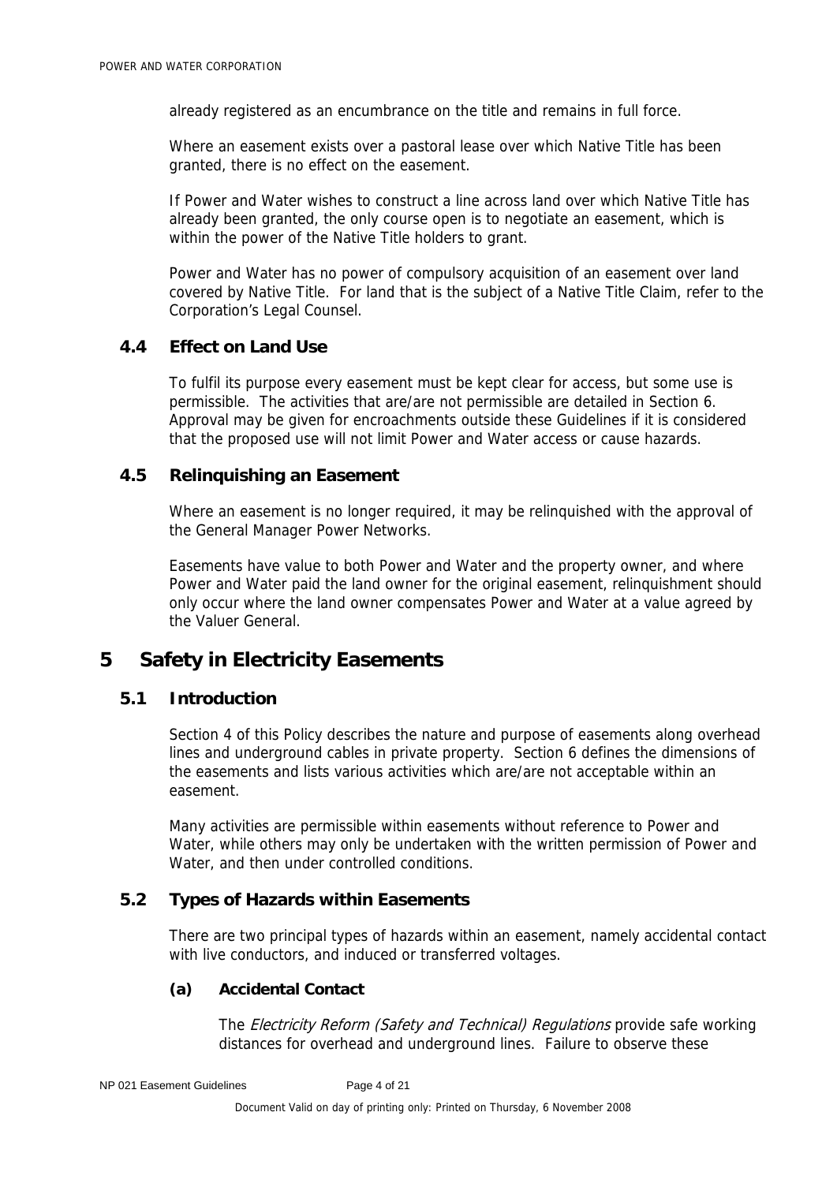already registered as an encumbrance on the title and remains in full force.

Where an easement exists over a pastoral lease over which Native Title has been granted, there is no effect on the easement.

If Power and Water wishes to construct a line across land over which Native Title has already been granted, the only course open is to negotiate an easement, which is within the power of the Native Title holders to grant.

Power and Water has no power of compulsory acquisition of an easement over land covered by Native Title. For land that is the subject of a Native Title Claim, refer to the Corporation's Legal Counsel.

## **4.4 Effect on Land Use**

To fulfil its purpose every easement must be kept clear for access, but some use is permissible. The activities that are/are not permissible are detailed in Section 6. Approval may be given for encroachments outside these Guidelines if it is considered that the proposed use will not limit Power and Water access or cause hazards.

#### **4.5 Relinquishing an Easement**

Where an easement is no longer required, it may be relinquished with the approval of the General Manager Power Networks.

Easements have value to both Power and Water and the property owner, and where Power and Water paid the land owner for the original easement, relinquishment should only occur where the land owner compensates Power and Water at a value agreed by the Valuer General.

#### **5 Safety in Electricity Easements**

### **5.1 Introduction**

Section 4 of this Policy describes the nature and purpose of easements along overhead lines and underground cables in private property. Section 6 defines the dimensions of the easements and lists various activities which are/are not acceptable within an easement.

Many activities are permissible within easements without reference to Power and Water, while others may only be undertaken with the written permission of Power and Water, and then under controlled conditions.

## **5.2 Types of Hazards within Easements**

There are two principal types of hazards within an easement, namely accidental contact with live conductors, and induced or transferred voltages.

#### **(a) Accidental Contact**

The Electricity Reform (Safety and Technical) Regulations provide safe working distances for overhead and underground lines. Failure to observe these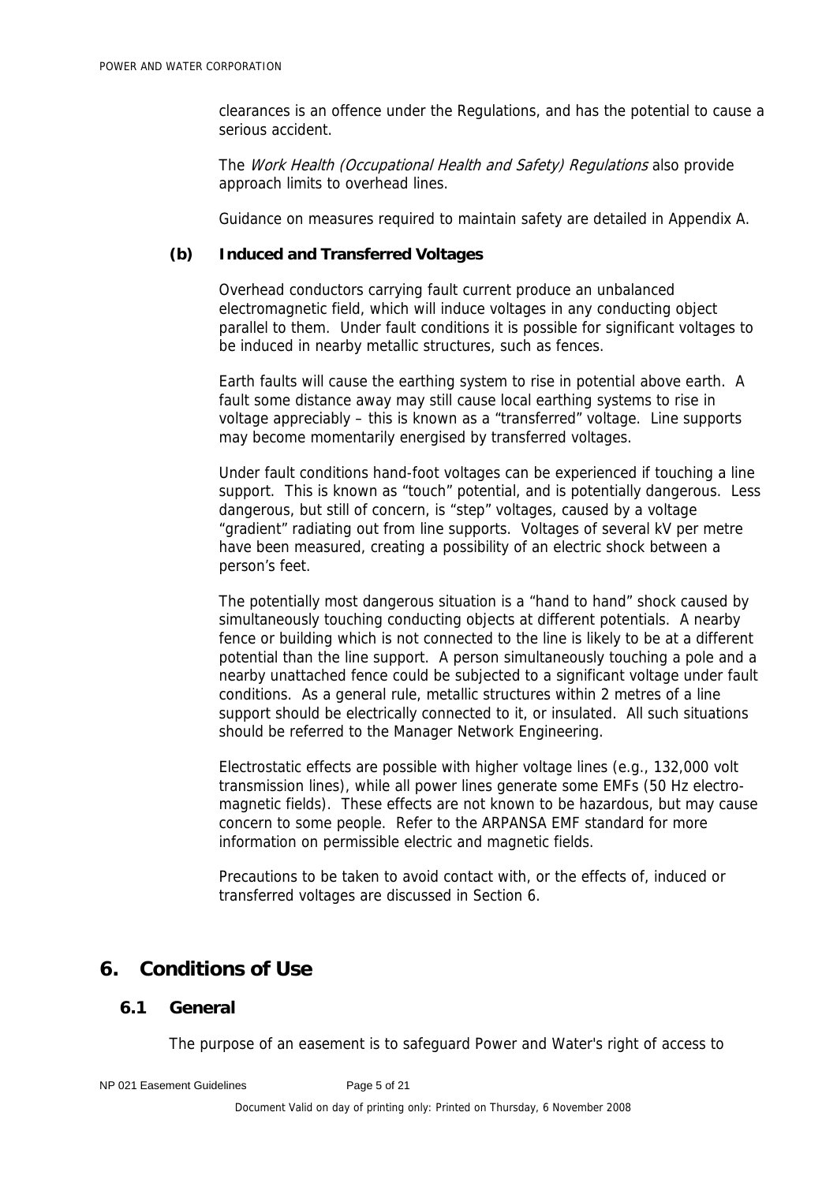clearances is an offence under the Regulations, and has the potential to cause a serious accident.

The Work Health (Occupational Health and Safety) Regulations also provide approach limits to overhead lines.

Guidance on measures required to maintain safety are detailed in Appendix A.

### **(b) Induced and Transferred Voltages**

Overhead conductors carrying fault current produce an unbalanced electromagnetic field, which will induce voltages in any conducting object parallel to them. Under fault conditions it is possible for significant voltages to be induced in nearby metallic structures, such as fences.

Earth faults will cause the earthing system to rise in potential above earth. A fault some distance away may still cause local earthing systems to rise in voltage appreciably – this is known as a "transferred" voltage. Line supports may become momentarily energised by transferred voltages.

Under fault conditions hand-foot voltages can be experienced if touching a line support. This is known as "touch" potential, and is potentially dangerous. Less dangerous, but still of concern, is "step" voltages, caused by a voltage "gradient" radiating out from line supports. Voltages of several kV per metre have been measured, creating a possibility of an electric shock between a person's feet.

The potentially most dangerous situation is a "hand to hand" shock caused by simultaneously touching conducting objects at different potentials. A nearby fence or building which is not connected to the line is likely to be at a different potential than the line support. A person simultaneously touching a pole and a nearby unattached fence could be subjected to a significant voltage under fault conditions. As a general rule, metallic structures within 2 metres of a line support should be electrically connected to it, or insulated. All such situations should be referred to the Manager Network Engineering.

Electrostatic effects are possible with higher voltage lines (e.g., 132,000 volt transmission lines), while all power lines generate some EMFs (50 Hz electromagnetic fields). These effects are not known to be hazardous, but may cause concern to some people. Refer to the ARPANSA EMF standard for more information on permissible electric and magnetic fields.

Precautions to be taken to avoid contact with, or the effects of, induced or transferred voltages are discussed in Section 6.

## **6. Conditions of Use**

## **6.1 General**

The purpose of an easement is to safeguard Power and Water's right of access to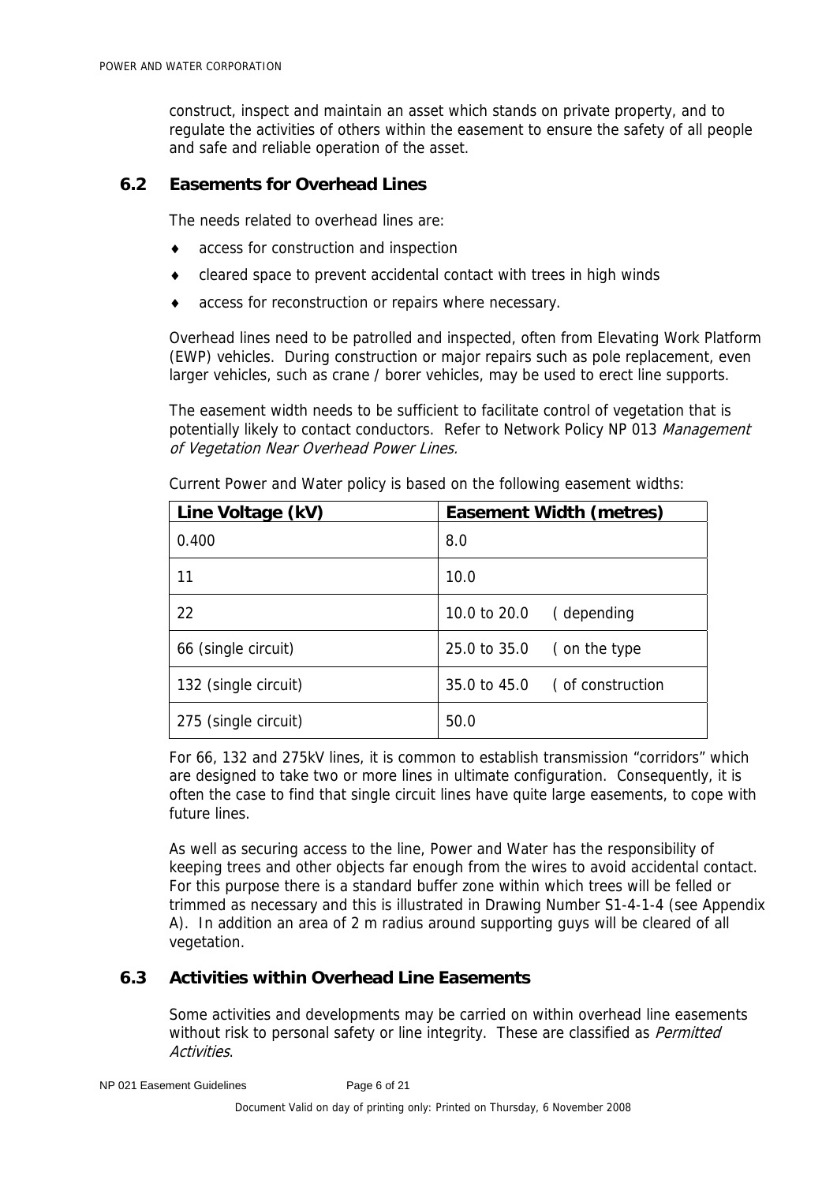construct, inspect and maintain an asset which stands on private property, and to regulate the activities of others within the easement to ensure the safety of all people and safe and reliable operation of the asset.

## **6.2 Easements for Overhead Lines**

The needs related to overhead lines are:

- ♦ access for construction and inspection
- ♦ cleared space to prevent accidental contact with trees in high winds
- ♦ access for reconstruction or repairs where necessary.

Overhead lines need to be patrolled and inspected, often from Elevating Work Platform (EWP) vehicles. During construction or major repairs such as pole replacement, even larger vehicles, such as crane / borer vehicles, may be used to erect line supports.

The easement width needs to be sufficient to facilitate control of vegetation that is potentially likely to contact conductors. Refer to Network Policy NP 013 Management of Vegetation Near Overhead Power Lines.

| Line Voltage (kV)    | <b>Easement Width (metres)</b> |  |
|----------------------|--------------------------------|--|
| 0.400                | 8.0                            |  |
| 11                   | 10.0                           |  |
| 22                   | 10.0 to 20.0<br>(depending     |  |
| 66 (single circuit)  | 25.0 to 35.0<br>(on the type   |  |
| 132 (single circuit) | 35.0 to 45.0 (of construction  |  |
| 275 (single circuit) | 50.0                           |  |

Current Power and Water policy is based on the following easement widths:

For 66, 132 and 275kV lines, it is common to establish transmission "corridors" which are designed to take two or more lines in ultimate configuration. Consequently, it is often the case to find that single circuit lines have quite large easements, to cope with future lines.

As well as securing access to the line, Power and Water has the responsibility of keeping trees and other objects far enough from the wires to avoid accidental contact. For this purpose there is a standard buffer zone within which trees will be felled or trimmed as necessary and this is illustrated in Drawing Number S1-4-1-4 (see Appendix A). In addition an area of 2 m radius around supporting guys will be cleared of all vegetation.

## **6.3 Activities within Overhead Line Easements**

Some activities and developments may be carried on within overhead line easements without risk to personal safety or line integrity. These are classified as Permitted Activities.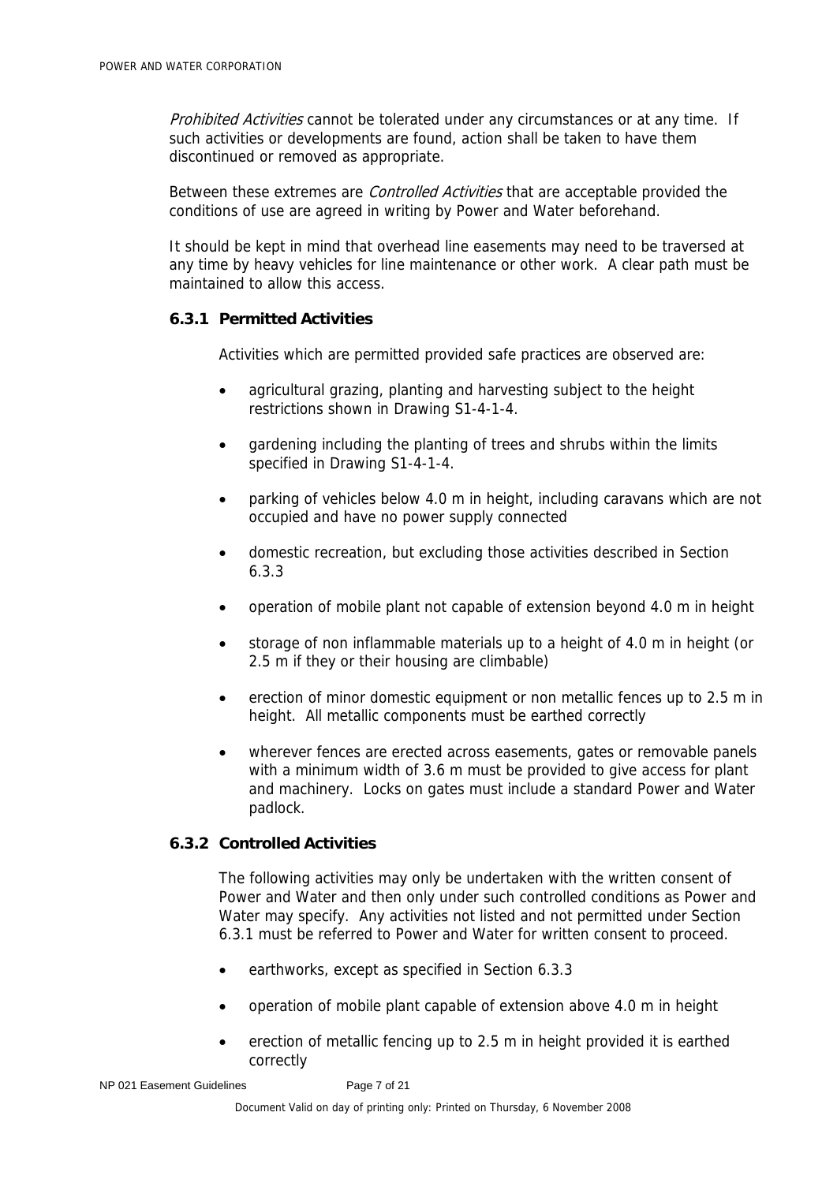Prohibited Activities cannot be tolerated under any circumstances or at any time. If such activities or developments are found, action shall be taken to have them discontinued or removed as appropriate.

Between these extremes are *Controlled Activities* that are acceptable provided the conditions of use are agreed in writing by Power and Water beforehand.

It should be kept in mind that overhead line easements may need to be traversed at any time by heavy vehicles for line maintenance or other work. A clear path must be maintained to allow this access.

## **6.3.1 Permitted Activities**

Activities which are permitted provided safe practices are observed are:

- agricultural grazing, planting and harvesting subject to the height restrictions shown in Drawing S1-4-1-4.
- gardening including the planting of trees and shrubs within the limits specified in Drawing S1-4-1-4.
- parking of vehicles below 4.0 m in height, including caravans which are not occupied and have no power supply connected
- domestic recreation, but excluding those activities described in Section 6.3.3
- operation of mobile plant not capable of extension beyond 4.0 m in height
- storage of non inflammable materials up to a height of 4.0 m in height (or 2.5 m if they or their housing are climbable)
- erection of minor domestic equipment or non metallic fences up to 2.5 m in height. All metallic components must be earthed correctly
- wherever fences are erected across easements, gates or removable panels with a minimum width of 3.6 m must be provided to give access for plant and machinery. Locks on gates must include a standard Power and Water padlock.

#### **6.3.2 Controlled Activities**

The following activities may only be undertaken with the written consent of Power and Water and then only under such controlled conditions as Power and Water may specify. Any activities not listed and not permitted under Section 6.3.1 must be referred to Power and Water for written consent to proceed.

- earthworks, except as specified in Section 6.3.3
- operation of mobile plant capable of extension above 4.0 m in height
- erection of metallic fencing up to 2.5 m in height provided it is earthed correctly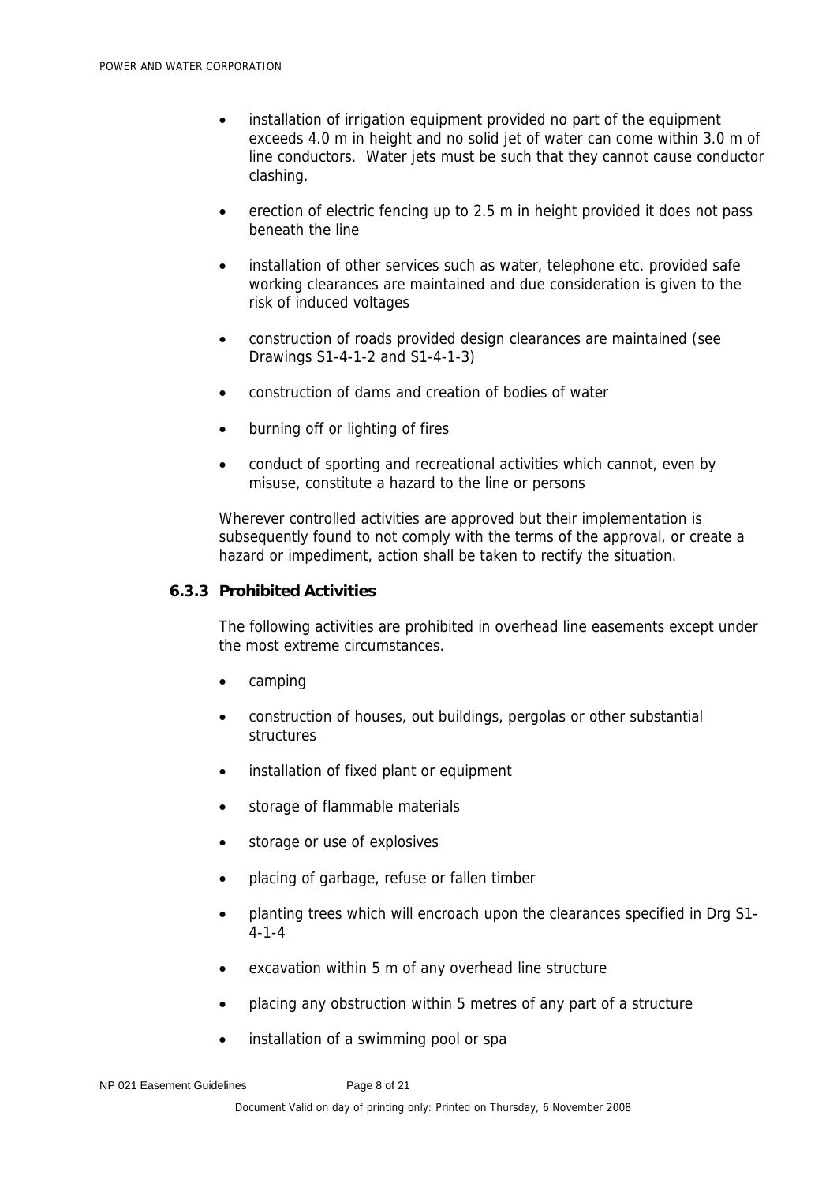- installation of irrigation equipment provided no part of the equipment exceeds 4.0 m in height and no solid jet of water can come within 3.0 m of line conductors. Water jets must be such that they cannot cause conductor clashing.
- erection of electric fencing up to 2.5 m in height provided it does not pass beneath the line
- installation of other services such as water, telephone etc. provided safe working clearances are maintained and due consideration is given to the risk of induced voltages
- construction of roads provided design clearances are maintained (see Drawings S1-4-1-2 and S1-4-1-3)
- construction of dams and creation of bodies of water
- burning off or lighting of fires
- conduct of sporting and recreational activities which cannot, even by misuse, constitute a hazard to the line or persons

Wherever controlled activities are approved but their implementation is subsequently found to not comply with the terms of the approval, or create a hazard or impediment, action shall be taken to rectify the situation.

#### **6.3.3 Prohibited Activities**

The following activities are prohibited in overhead line easements except under the most extreme circumstances.

- camping
- construction of houses, out buildings, pergolas or other substantial structures
- installation of fixed plant or equipment
- storage of flammable materials
- storage or use of explosives
- placing of garbage, refuse or fallen timber
- planting trees which will encroach upon the clearances specified in Drg S1- 4-1-4
- excavation within 5 m of any overhead line structure
- placing any obstruction within 5 metres of any part of a structure
- installation of a swimming pool or spa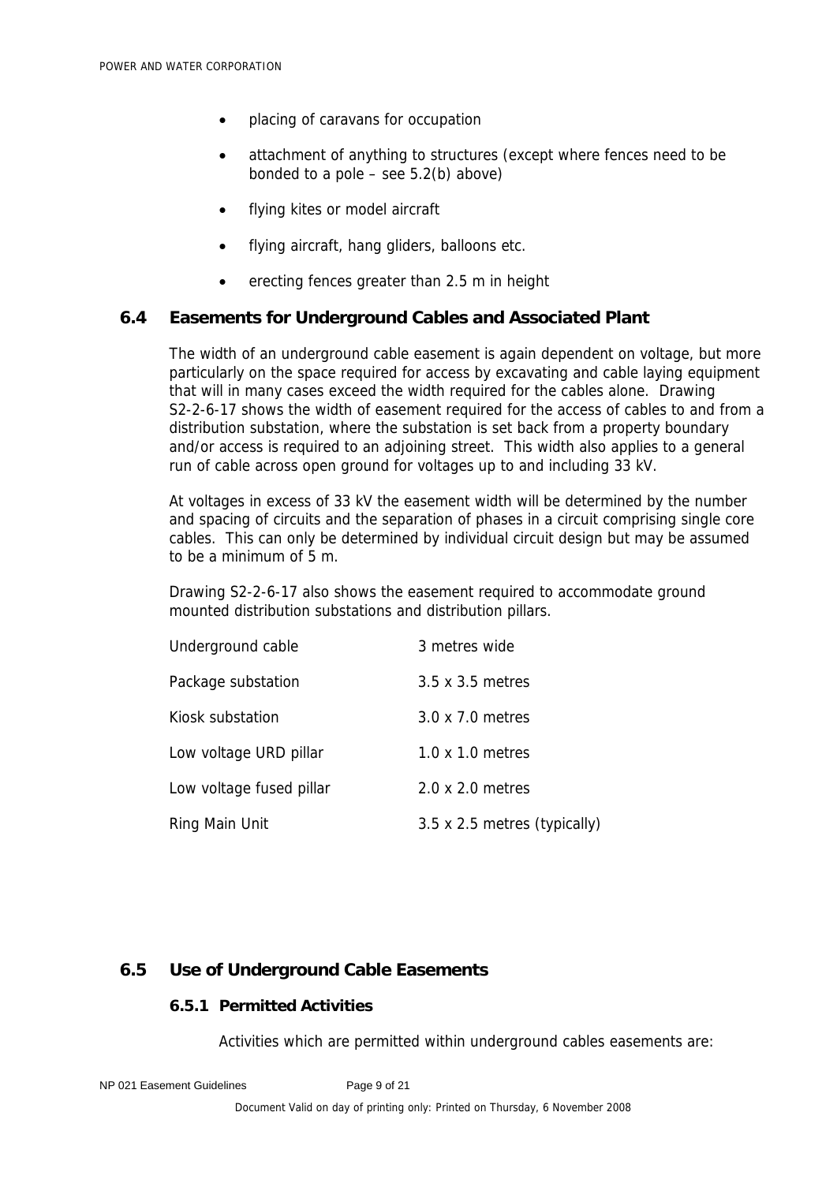- placing of caravans for occupation
- attachment of anything to structures (except where fences need to be bonded to a pole  $-$  see 5.2(b) above)
- flying kites or model aircraft
- flying aircraft, hang gliders, balloons etc.
- erecting fences greater than 2.5 m in height

### **6.4 Easements for Underground Cables and Associated Plant**

The width of an underground cable easement is again dependent on voltage, but more particularly on the space required for access by excavating and cable laying equipment that will in many cases exceed the width required for the cables alone. Drawing S2-2-6-17 shows the width of easement required for the access of cables to and from a distribution substation, where the substation is set back from a property boundary and/or access is required to an adjoining street. This width also applies to a general run of cable across open ground for voltages up to and including 33 kV.

At voltages in excess of 33 kV the easement width will be determined by the number and spacing of circuits and the separation of phases in a circuit comprising single core cables. This can only be determined by individual circuit design but may be assumed to be a minimum of 5 m.

Drawing S2-2-6-17 also shows the easement required to accommodate ground mounted distribution substations and distribution pillars.

| Underground cable        | 3 metres wide                |
|--------------------------|------------------------------|
| Package substation       | 3.5 x 3.5 metres             |
| Kiosk substation         | 3.0 x 7.0 metres             |
| Low voltage URD pillar   | $1.0 \times 1.0$ metres      |
| Low voltage fused pillar | 2.0 x 2.0 metres             |
| Ring Main Unit           | 3.5 x 2.5 metres (typically) |

### **6.5 Use of Underground Cable Easements**

### **6.5.1 Permitted Activities**

Activities which are permitted within underground cables easements are: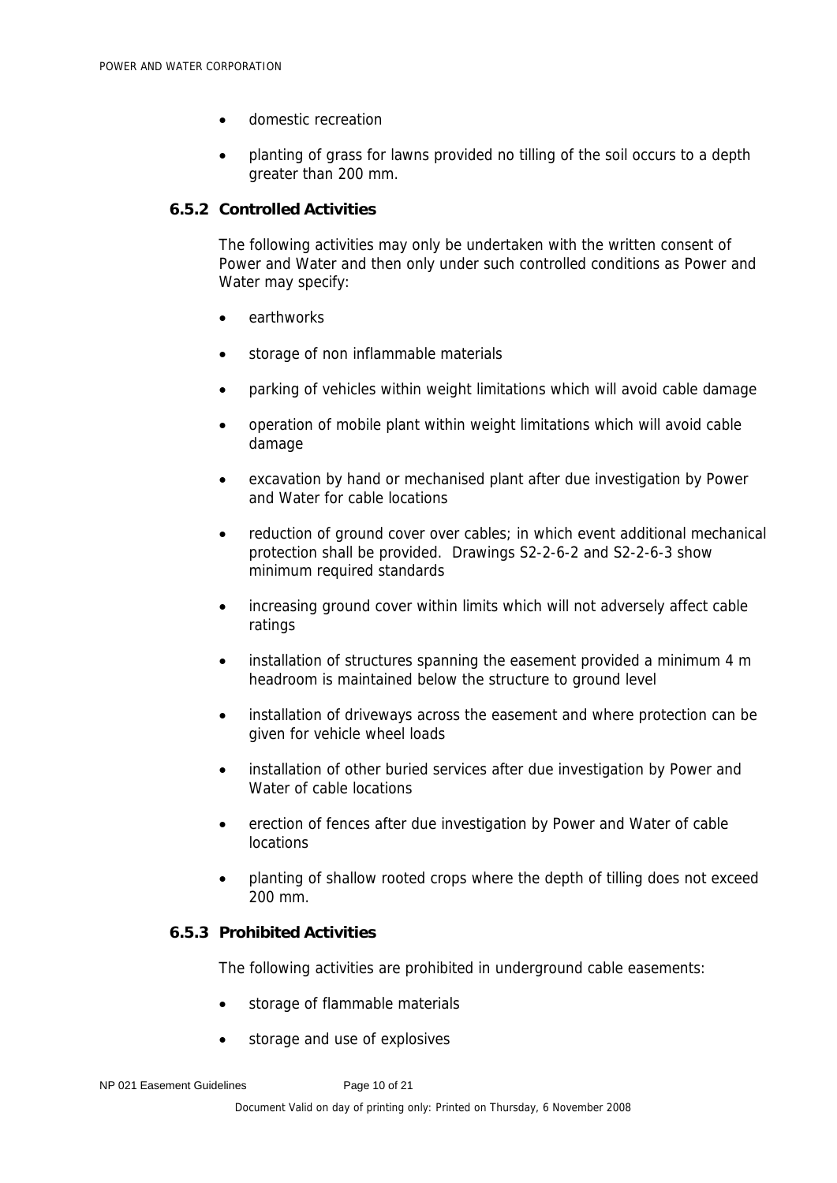- domestic recreation
- planting of grass for lawns provided no tilling of the soil occurs to a depth greater than 200 mm.

#### **6.5.2 Controlled Activities**

The following activities may only be undertaken with the written consent of Power and Water and then only under such controlled conditions as Power and Water may specify:

- earthworks
- storage of non inflammable materials
- parking of vehicles within weight limitations which will avoid cable damage
- operation of mobile plant within weight limitations which will avoid cable damage
- excavation by hand or mechanised plant after due investigation by Power and Water for cable locations
- reduction of ground cover over cables; in which event additional mechanical protection shall be provided. Drawings S2-2-6-2 and S2-2-6-3 show minimum required standards
- increasing ground cover within limits which will not adversely affect cable ratings
- installation of structures spanning the easement provided a minimum 4 m headroom is maintained below the structure to ground level
- installation of driveways across the easement and where protection can be given for vehicle wheel loads
- installation of other buried services after due investigation by Power and Water of cable locations
- erection of fences after due investigation by Power and Water of cable locations
- planting of shallow rooted crops where the depth of tilling does not exceed 200 mm.

## **6.5.3 Prohibited Activities**

The following activities are prohibited in underground cable easements:

- storage of flammable materials
- storage and use of explosives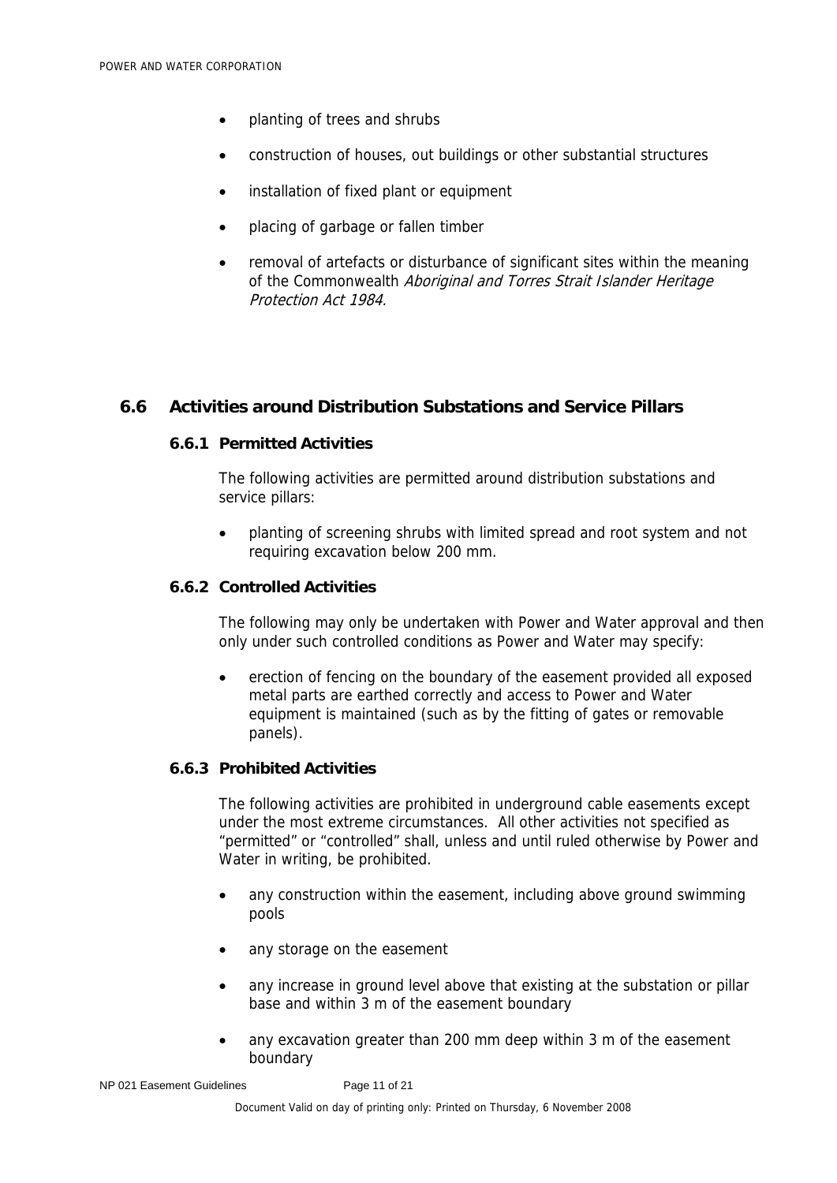- planting of trees and shrubs
- construction of houses, out buildings or other substantial structures
- installation of fixed plant or equipment
- placing of garbage or fallen timber
- removal of artefacts or disturbance of significant sites within the meaning of the Commonwealth Aboriginal and Torres Strait Islander Heritage Protection Act 1984.

### **6.6 Activities around Distribution Substations and Service Pillars**

## **6.6.1 Permitted Activities**

The following activities are permitted around distribution substations and service pillars:

• planting of screening shrubs with limited spread and root system and not requiring excavation below 200 mm.

#### **6.6.2 Controlled Activities**

The following may only be undertaken with Power and Water approval and then only under such controlled conditions as Power and Water may specify:

• erection of fencing on the boundary of the easement provided all exposed metal parts are earthed correctly and access to Power and Water equipment is maintained (such as by the fitting of gates or removable panels).

#### **6.6.3 Prohibited Activities**

The following activities are prohibited in underground cable easements except under the most extreme circumstances. All other activities not specified as "permitted" or "controlled" shall, unless and until ruled otherwise by Power and Water in writing, be prohibited.

- any construction within the easement, including above ground swimming pools
- any storage on the easement
- any increase in ground level above that existing at the substation or pillar base and within 3 m of the easement boundary
- any excavation greater than 200 mm deep within 3 m of the easement boundary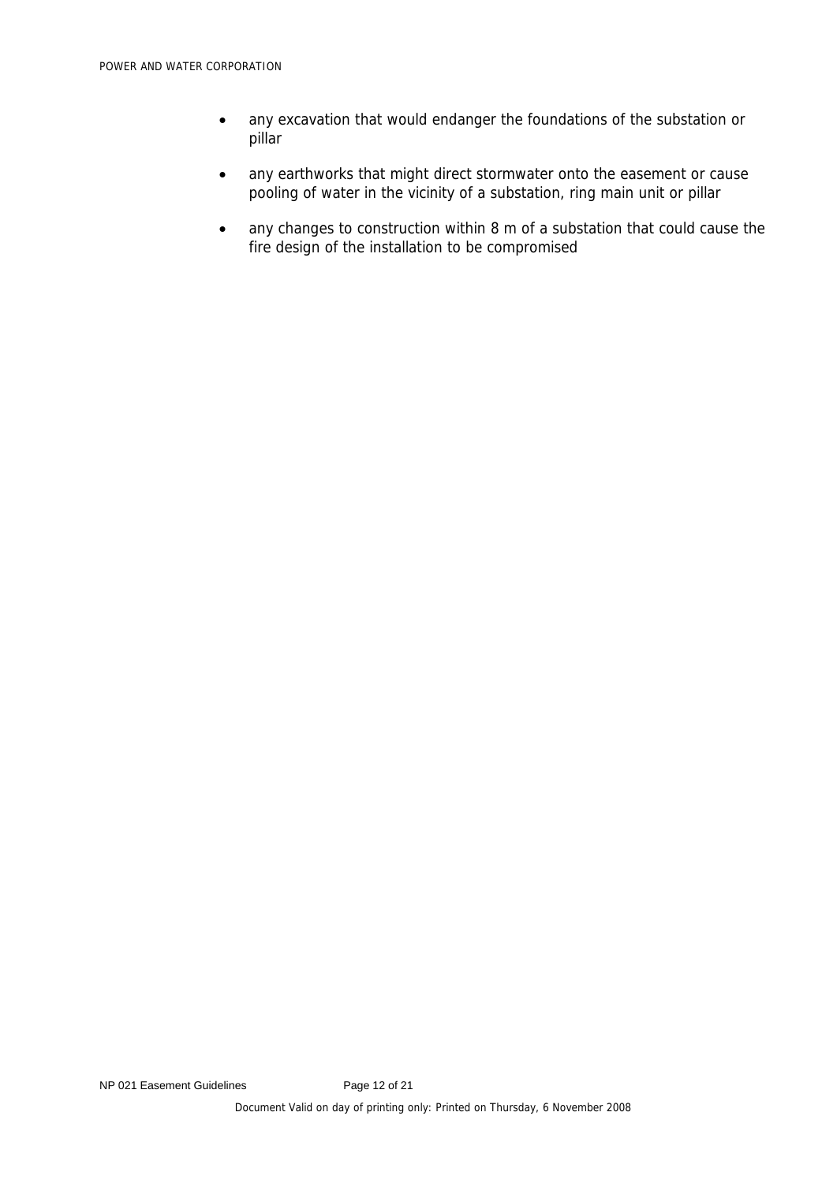- any excavation that would endanger the foundations of the substation or pillar
- any earthworks that might direct stormwater onto the easement or cause pooling of water in the vicinity of a substation, ring main unit or pillar
- any changes to construction within 8 m of a substation that could cause the fire design of the installation to be compromised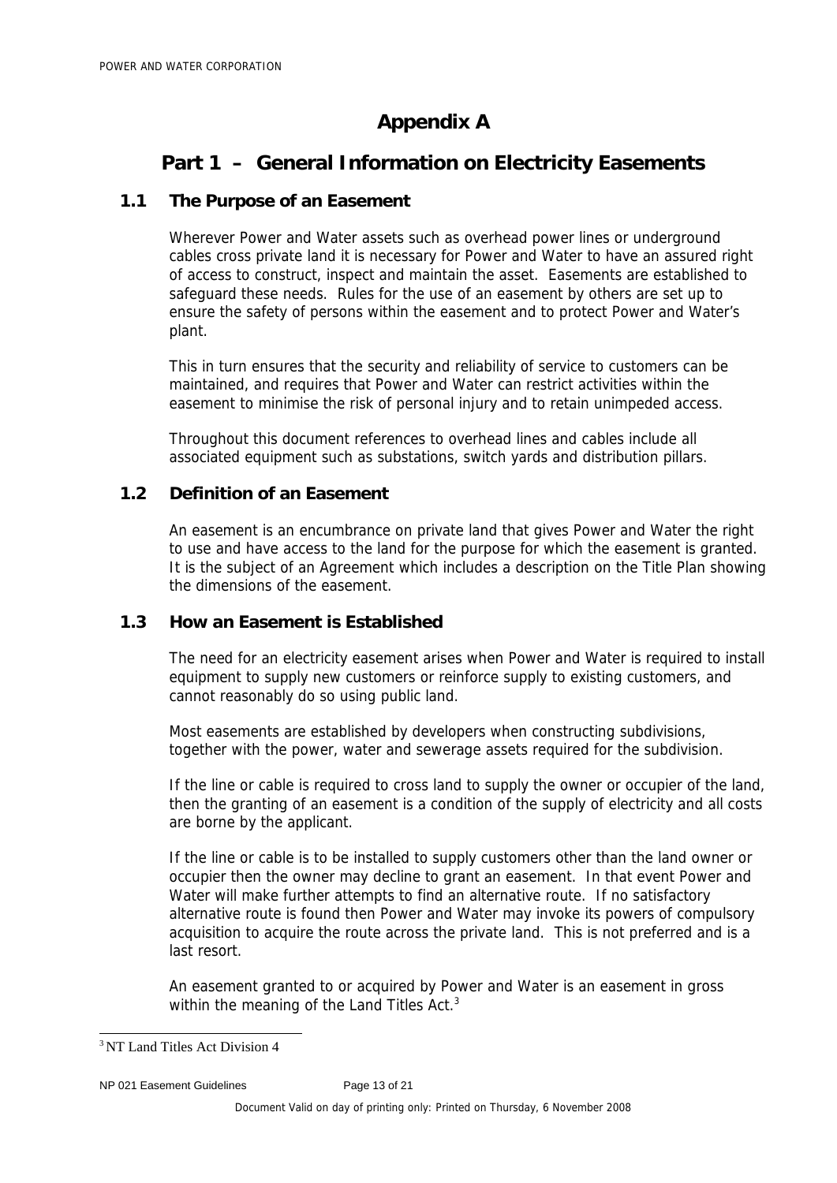## **Appendix A**

## **Part 1 – General Information on Electricity Easements**

## **1.1 The Purpose of an Easement**

Wherever Power and Water assets such as overhead power lines or underground cables cross private land it is necessary for Power and Water to have an assured right of access to construct, inspect and maintain the asset. Easements are established to safeguard these needs. Rules for the use of an easement by others are set up to ensure the safety of persons within the easement and to protect Power and Water's plant.

This in turn ensures that the security and reliability of service to customers can be maintained, and requires that Power and Water can restrict activities within the easement to minimise the risk of personal injury and to retain unimpeded access.

Throughout this document references to overhead lines and cables include all associated equipment such as substations, switch yards and distribution pillars.

## **1.2 Definition of an Easement**

An easement is an encumbrance on private land that gives Power and Water the right to use and have access to the land for the purpose for which the easement is granted. It is the subject of an Agreement which includes a description on the Title Plan showing the dimensions of the easement.

## **1.3 How an Easement is Established**

The need for an electricity easement arises when Power and Water is required to install equipment to supply new customers or reinforce supply to existing customers, and cannot reasonably do so using public land.

Most easements are established by developers when constructing subdivisions, together with the power, water and sewerage assets required for the subdivision.

If the line or cable is required to cross land to supply the owner or occupier of the land, then the granting of an easement is a condition of the supply of electricity and all costs are borne by the applicant.

If the line or cable is to be installed to supply customers other than the land owner or occupier then the owner may decline to grant an easement. In that event Power and Water will make further attempts to find an alternative route. If no satisfactory alternative route is found then Power and Water may invoke its powers of compulsory acquisition to acquire the route across the private land. This is not preferred and is a last resort.

An easement granted to or acquired by Power and Water is an easement in gross within the meaning of the Land Titles Act.<sup>3</sup>

<sup>3</sup> NT Land Titles Act Division 4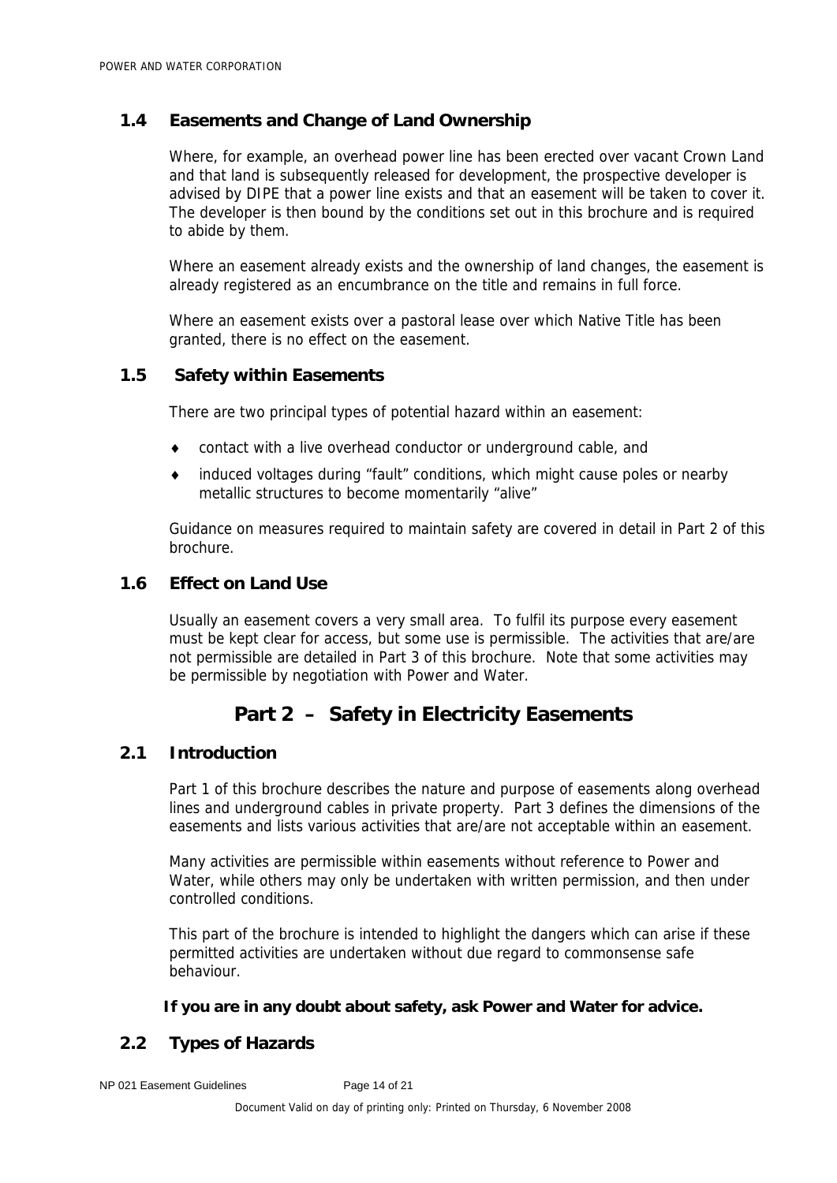## **1.4 Easements and Change of Land Ownership**

Where, for example, an overhead power line has been erected over vacant Crown Land and that land is subsequently released for development, the prospective developer is advised by DIPE that a power line exists and that an easement will be taken to cover it. The developer is then bound by the conditions set out in this brochure and is required to abide by them.

Where an easement already exists and the ownership of land changes, the easement is already registered as an encumbrance on the title and remains in full force.

Where an easement exists over a pastoral lease over which Native Title has been granted, there is no effect on the easement.

## **1.5 Safety within Easements**

There are two principal types of potential hazard within an easement:

- ♦ contact with a live overhead conductor or underground cable, and
- ♦ induced voltages during "fault" conditions, which might cause poles or nearby metallic structures to become momentarily "alive"

Guidance on measures required to maintain safety are covered in detail in Part 2 of this brochure.

## **1.6 Effect on Land Use**

Usually an easement covers a very small area. To fulfil its purpose every easement must be kept clear for access, but some use is permissible. The activities that are/are not permissible are detailed in Part 3 of this brochure. Note that some activities may be permissible by negotiation with Power and Water.

## **Part 2 – Safety in Electricity Easements**

### **2.1 Introduction**

Part 1 of this brochure describes the nature and purpose of easements along overhead lines and underground cables in private property. Part 3 defines the dimensions of the easements and lists various activities that are/are not acceptable within an easement.

Many activities are permissible within easements without reference to Power and Water, while others may only be undertaken with written permission, and then under controlled conditions.

This part of the brochure is intended to highlight the dangers which can arise if these permitted activities are undertaken without due regard to commonsense safe behaviour.

**If you are in any doubt about safety, ask Power and Water for advice.** 

## **2.2 Types of Hazards**

NP 021 Easement Guidelines Page 14 of 21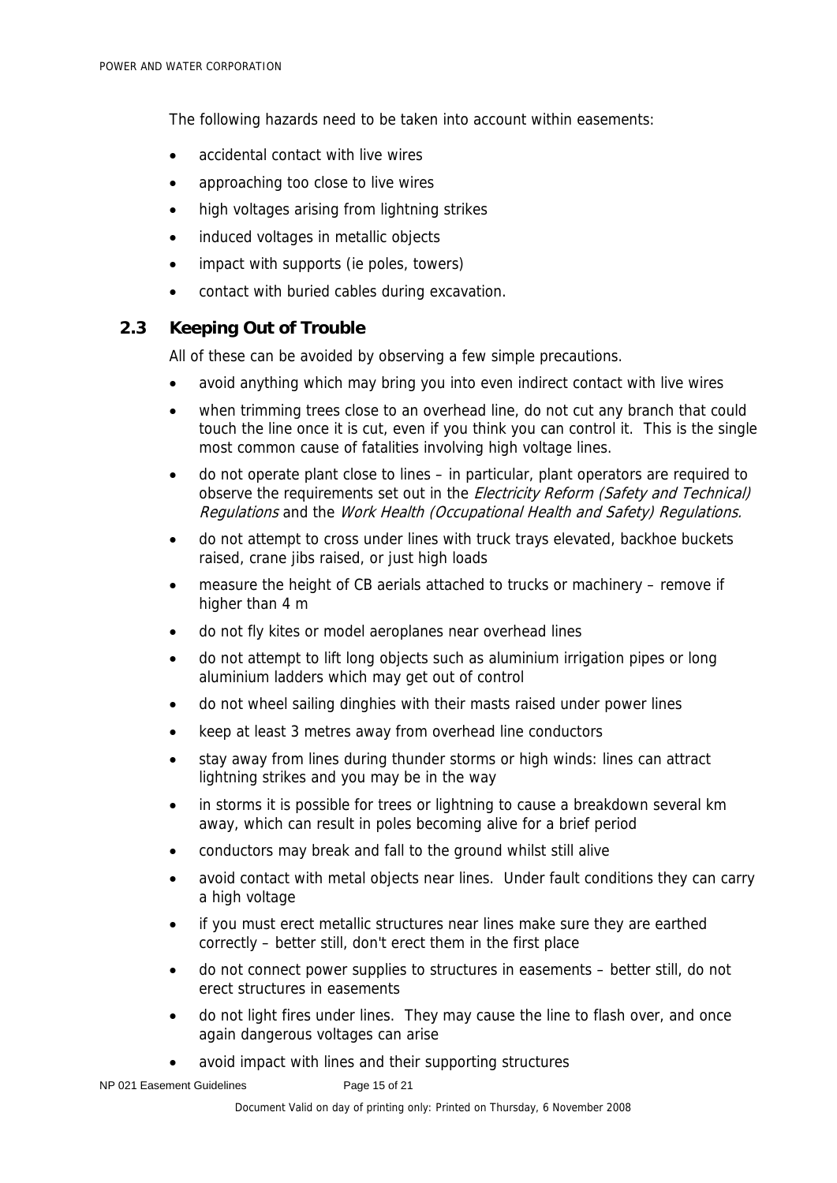The following hazards need to be taken into account within easements:

- accidental contact with live wires
- approaching too close to live wires
- high voltages arising from lightning strikes
- induced voltages in metallic objects
- impact with supports (ie poles, towers)
- contact with buried cables during excavation.

## **2.3 Keeping Out of Trouble**

All of these can be avoided by observing a few simple precautions.

- avoid anything which may bring you into even indirect contact with live wires
- when trimming trees close to an overhead line, do not cut any branch that could touch the line once it is cut, even if you think you can control it. This is the single most common cause of fatalities involving high voltage lines.
- do not operate plant close to lines in particular, plant operators are required to observe the requirements set out in the *Electricity Reform (Safety and Technical)* Regulations and the Work Health (Occupational Health and Safety) Regulations.
- do not attempt to cross under lines with truck trays elevated, backhoe buckets raised, crane jibs raised, or just high loads
- measure the height of CB aerials attached to trucks or machinery remove if higher than 4 m
- do not fly kites or model aeroplanes near overhead lines
- do not attempt to lift long objects such as aluminium irrigation pipes or long aluminium ladders which may get out of control
- do not wheel sailing dinghies with their masts raised under power lines
- keep at least 3 metres away from overhead line conductors
- stay away from lines during thunder storms or high winds: lines can attract lightning strikes and you may be in the way
- in storms it is possible for trees or lightning to cause a breakdown several km away, which can result in poles becoming alive for a brief period
- conductors may break and fall to the ground whilst still alive
- avoid contact with metal objects near lines. Under fault conditions they can carry a high voltage
- if you must erect metallic structures near lines make sure they are earthed correctly – better still, don't erect them in the first place
- do not connect power supplies to structures in easements better still, do not erect structures in easements
- do not light fires under lines. They may cause the line to flash over, and once again dangerous voltages can arise
- avoid impact with lines and their supporting structures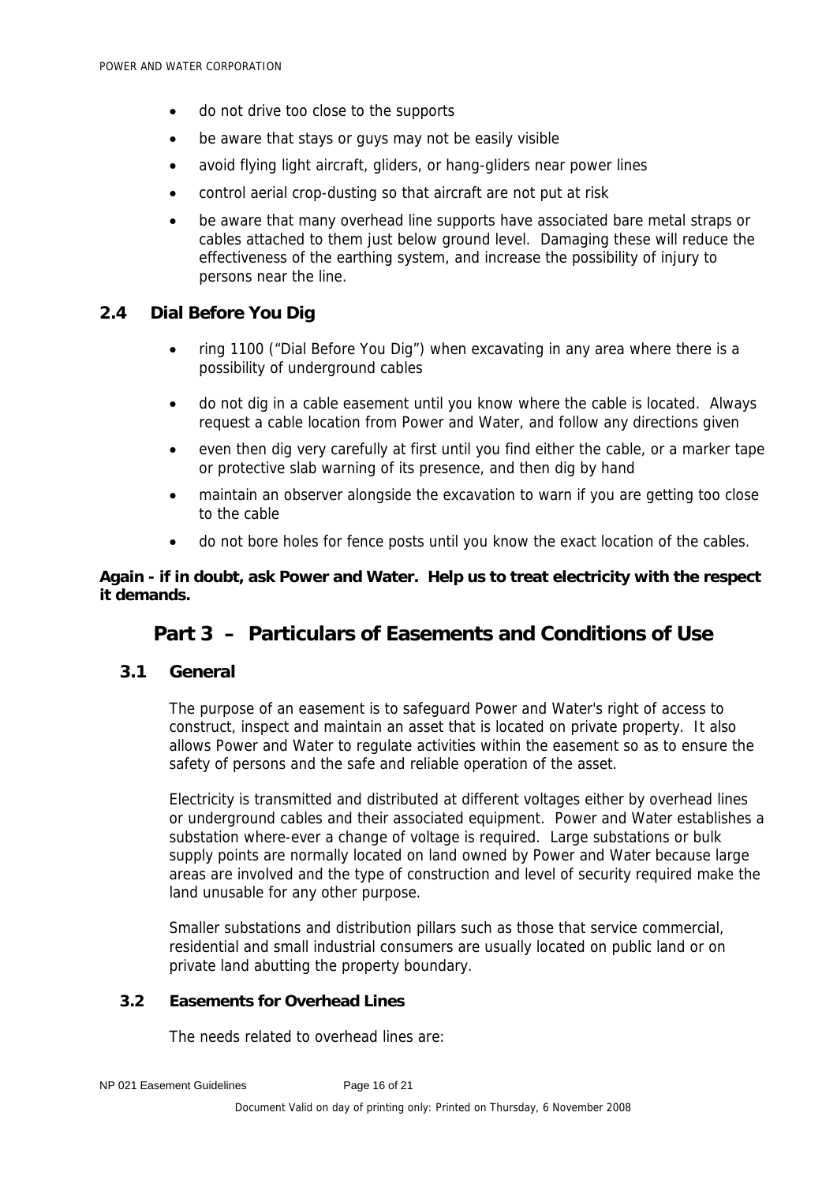- do not drive too close to the supports
- be aware that stays or guys may not be easily visible
- avoid flying light aircraft, gliders, or hang-gliders near power lines
- control aerial crop-dusting so that aircraft are not put at risk
- be aware that many overhead line supports have associated bare metal straps or cables attached to them just below ground level. Damaging these will reduce the effectiveness of the earthing system, and increase the possibility of injury to persons near the line.

## **2.4 Dial Before You Dig**

- ring 1100 ("Dial Before You Dig") when excavating in any area where there is a possibility of underground cables
- do not dig in a cable easement until you know where the cable is located. Always request a cable location from Power and Water, and follow any directions given
- even then dig very carefully at first until you find either the cable, or a marker tape or protective slab warning of its presence, and then dig by hand
- maintain an observer alongside the excavation to warn if you are getting too close to the cable
- do not bore holes for fence posts until you know the exact location of the cables.

### **Again - if in doubt, ask Power and Water. Help us to treat electricity with the respect it demands.**

## **Part 3 – Particulars of Easements and Conditions of Use**

## **3.1 General**

The purpose of an easement is to safeguard Power and Water's right of access to construct, inspect and maintain an asset that is located on private property. It also allows Power and Water to regulate activities within the easement so as to ensure the safety of persons and the safe and reliable operation of the asset.

Electricity is transmitted and distributed at different voltages either by overhead lines or underground cables and their associated equipment. Power and Water establishes a substation where-ever a change of voltage is required. Large substations or bulk supply points are normally located on land owned by Power and Water because large areas are involved and the type of construction and level of security required make the land unusable for any other purpose.

Smaller substations and distribution pillars such as those that service commercial, residential and small industrial consumers are usually located on public land or on private land abutting the property boundary.

### **3.2 Easements for Overhead Lines**

The needs related to overhead lines are: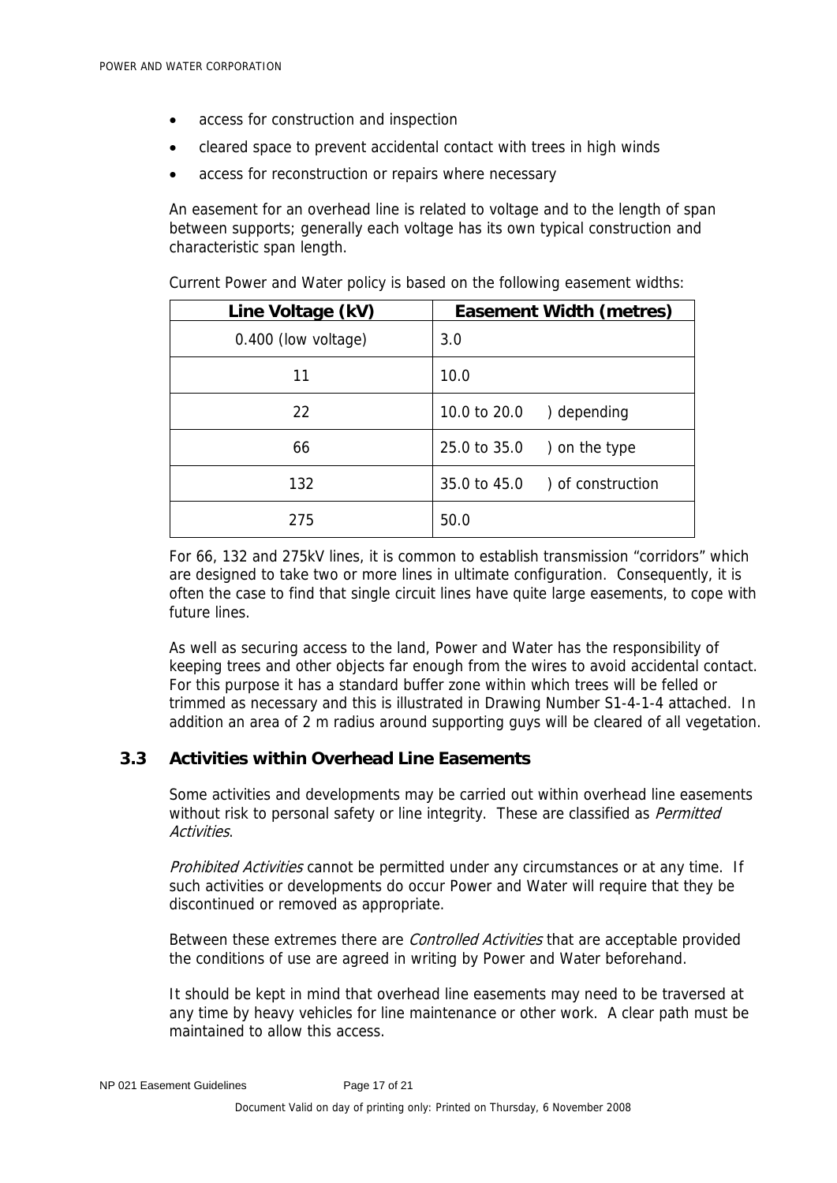- access for construction and inspection
- cleared space to prevent accidental contact with trees in high winds
- access for reconstruction or repairs where necessary

An easement for an overhead line is related to voltage and to the length of span between supports; generally each voltage has its own typical construction and characteristic span length.

| Line Voltage (kV)   | <b>Easement Width (metres)</b> |
|---------------------|--------------------------------|
| 0.400 (low voltage) | 3.0                            |
| 11                  | 10.0                           |
| 22                  | 10.0 to 20.0<br>) depending    |
| 66                  | $25.0$ to $35.0$ ) on the type |
| 132                 | 35.0 to 45.0 ) of construction |
| 275                 | 50.0                           |

Current Power and Water policy is based on the following easement widths:

For 66, 132 and 275kV lines, it is common to establish transmission "corridors" which are designed to take two or more lines in ultimate configuration. Consequently, it is often the case to find that single circuit lines have quite large easements, to cope with future lines.

As well as securing access to the land, Power and Water has the responsibility of keeping trees and other objects far enough from the wires to avoid accidental contact. For this purpose it has a standard buffer zone within which trees will be felled or trimmed as necessary and this is illustrated in Drawing Number S1-4-1-4 attached. In addition an area of 2 m radius around supporting guys will be cleared of all vegetation.

### **3.3 Activities within Overhead Line Easements**

Some activities and developments may be carried out within overhead line easements without risk to personal safety or line integrity. These are classified as *Permitted* Activities.

Prohibited Activities cannot be permitted under any circumstances or at any time. If such activities or developments do occur Power and Water will require that they be discontinued or removed as appropriate.

Between these extremes there are *Controlled Activities* that are acceptable provided the conditions of use are agreed in writing by Power and Water beforehand.

It should be kept in mind that overhead line easements may need to be traversed at any time by heavy vehicles for line maintenance or other work. A clear path must be maintained to allow this access.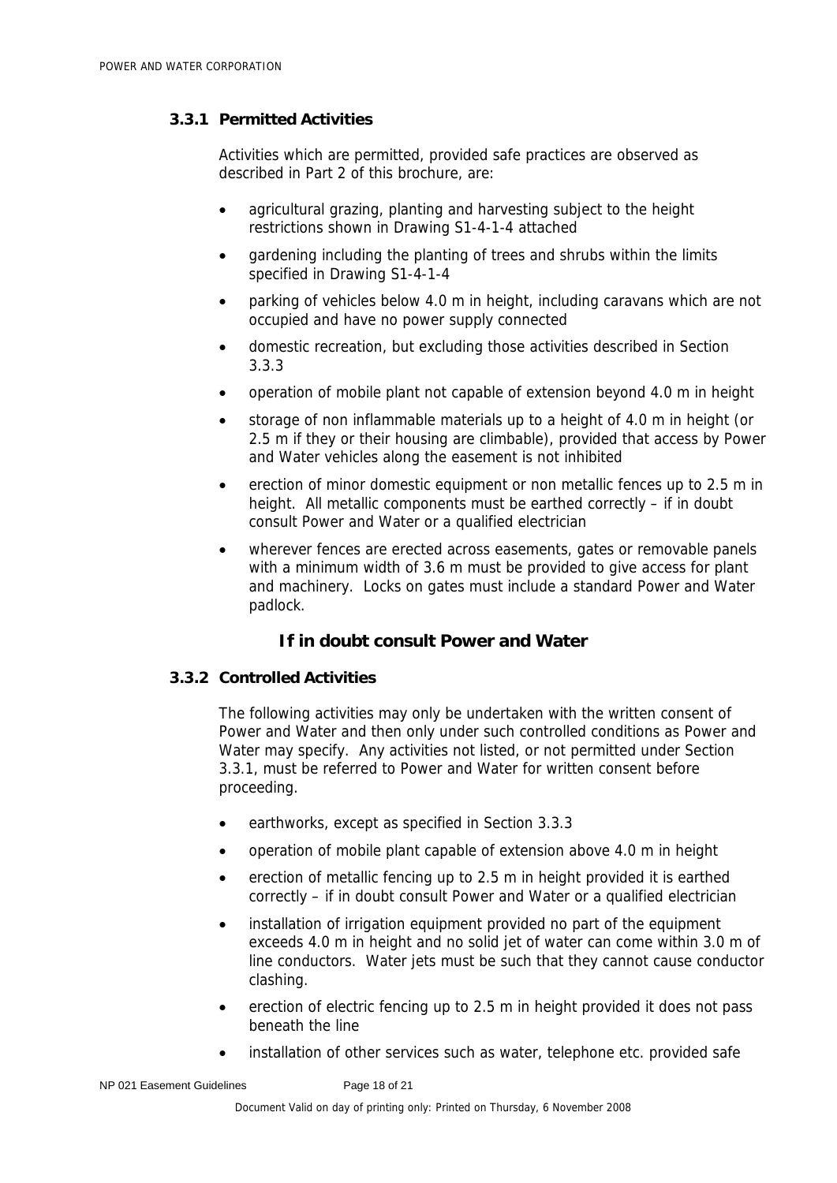## **3.3.1 Permitted Activities**

Activities which are permitted, provided safe practices are observed as described in Part 2 of this brochure, are:

- agricultural grazing, planting and harvesting subject to the height restrictions shown in Drawing S1-4-1-4 attached
- gardening including the planting of trees and shrubs within the limits specified in Drawing S1-4-1-4
- parking of vehicles below 4.0 m in height, including caravans which are not occupied and have no power supply connected
- domestic recreation, but excluding those activities described in Section 3.3.3
- operation of mobile plant not capable of extension beyond 4.0 m in height
- storage of non inflammable materials up to a height of 4.0 m in height (or 2.5 m if they or their housing are climbable), provided that access by Power and Water vehicles along the easement is not inhibited
- erection of minor domestic equipment or non metallic fences up to 2.5 m in height. All metallic components must be earthed correctly – if in doubt consult Power and Water or a qualified electrician
- wherever fences are erected across easements, gates or removable panels with a minimum width of 3.6 m must be provided to give access for plant and machinery. Locks on gates must include a standard Power and Water padlock.

## **If in doubt consult Power and Water**

#### **3.3.2 Controlled Activities**

The following activities may only be undertaken with the written consent of Power and Water and then only under such controlled conditions as Power and Water may specify. Any activities not listed, or not permitted under Section 3.3.1, must be referred to Power and Water for written consent before proceeding.

- earthworks, except as specified in Section 3.3.3
- operation of mobile plant capable of extension above 4.0 m in height
- erection of metallic fencing up to 2.5 m in height provided it is earthed correctly – if in doubt consult Power and Water or a qualified electrician
- installation of irrigation equipment provided no part of the equipment exceeds 4.0 m in height and no solid jet of water can come within 3.0 m of line conductors. Water jets must be such that they cannot cause conductor clashing.
- erection of electric fencing up to 2.5 m in height provided it does not pass beneath the line
- installation of other services such as water, telephone etc. provided safe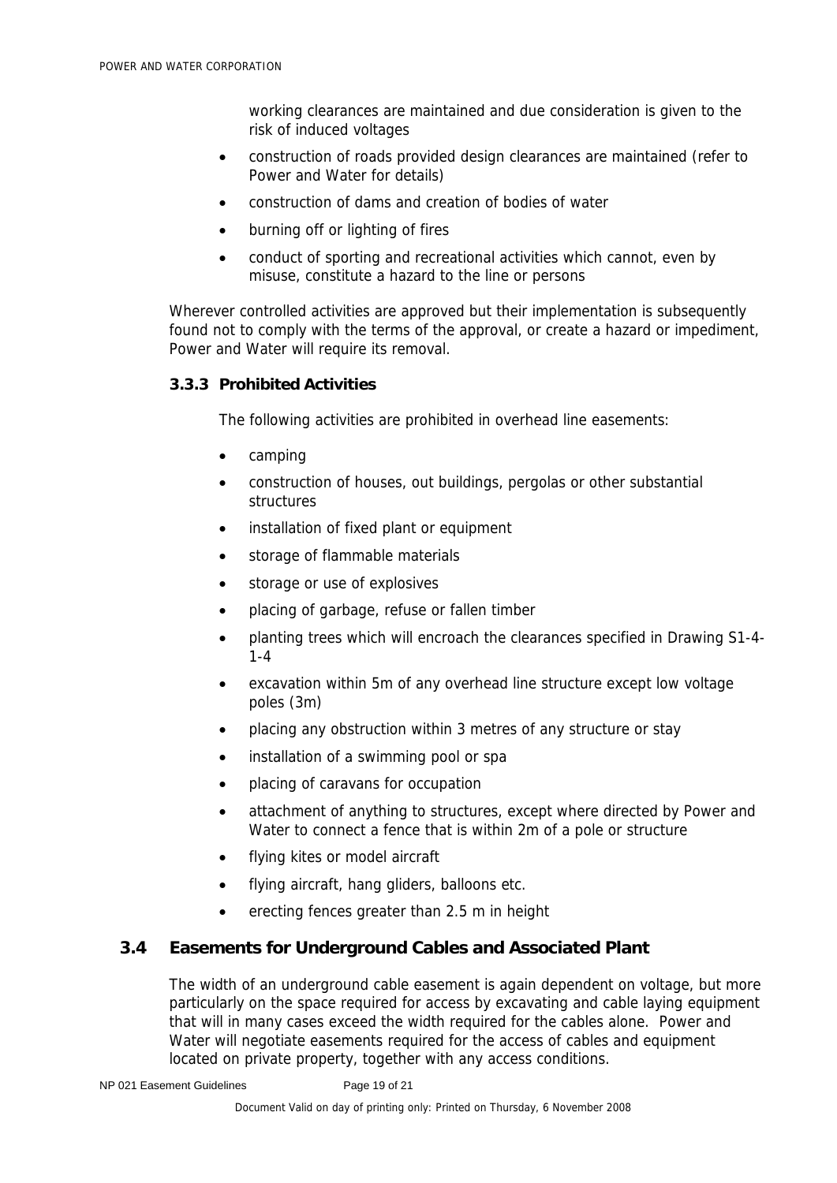working clearances are maintained and due consideration is given to the risk of induced voltages

- construction of roads provided design clearances are maintained (refer to Power and Water for details)
- construction of dams and creation of bodies of water
- burning off or lighting of fires
- conduct of sporting and recreational activities which cannot, even by misuse, constitute a hazard to the line or persons

Wherever controlled activities are approved but their implementation is subsequently found not to comply with the terms of the approval, or create a hazard or impediment, Power and Water will require its removal.

#### **3.3.3 Prohibited Activities**

The following activities are prohibited in overhead line easements:

- camping
- construction of houses, out buildings, pergolas or other substantial structures
- installation of fixed plant or equipment
- storage of flammable materials
- storage or use of explosives
- placing of garbage, refuse or fallen timber
- planting trees which will encroach the clearances specified in Drawing S1-4- 1-4
- excavation within 5m of any overhead line structure except low voltage poles (3m)
- placing any obstruction within 3 metres of any structure or stay
- installation of a swimming pool or spa
- placing of caravans for occupation
- attachment of anything to structures, except where directed by Power and Water to connect a fence that is within 2m of a pole or structure
- flying kites or model aircraft
- flying aircraft, hang gliders, balloons etc.
- erecting fences greater than 2.5 m in height

## **3.4 Easements for Underground Cables and Associated Plant**

The width of an underground cable easement is again dependent on voltage, but more particularly on the space required for access by excavating and cable laying equipment that will in many cases exceed the width required for the cables alone. Power and Water will negotiate easements required for the access of cables and equipment located on private property, together with any access conditions.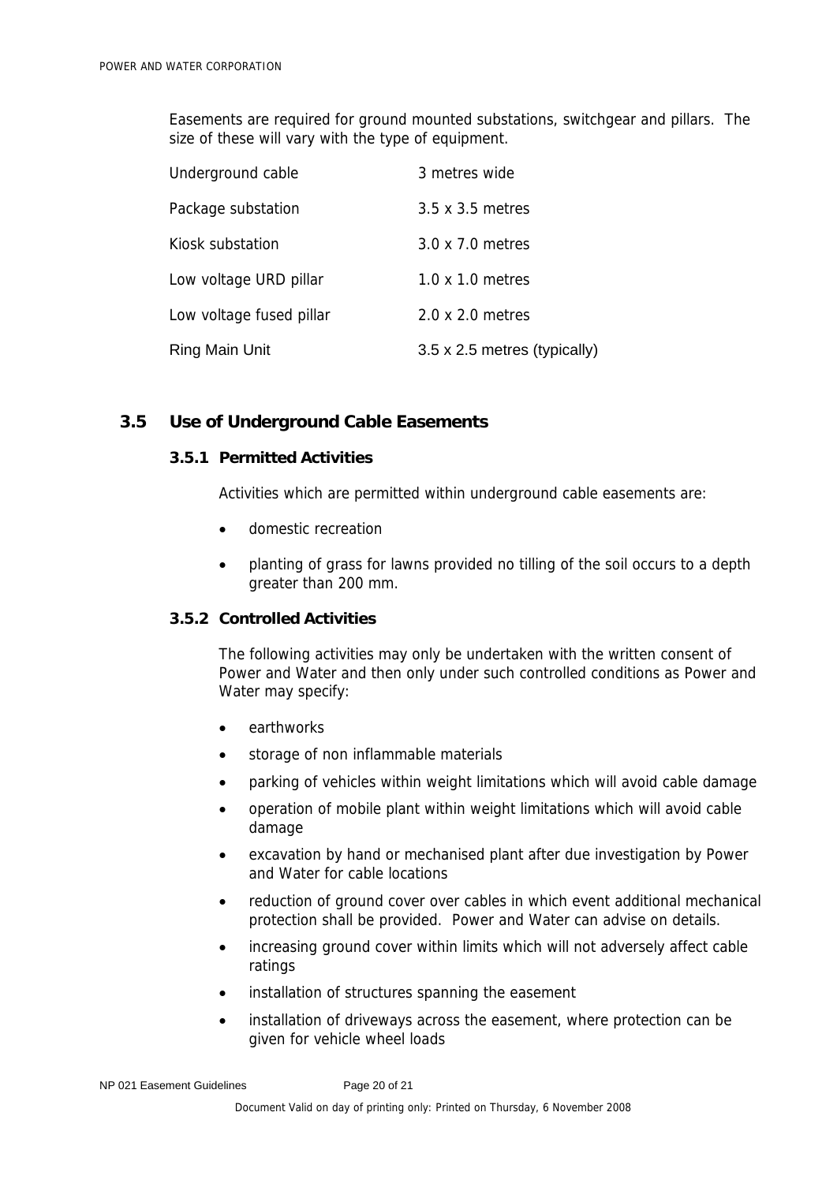Easements are required for ground mounted substations, switchgear and pillars. The size of these will vary with the type of equipment.

| Underground cable        | 3 metres wide                |
|--------------------------|------------------------------|
| Package substation       | 3.5 x 3.5 metres             |
| Kiosk substation         | 3.0 x 7.0 metres             |
| Low voltage URD pillar   | $1.0 \times 1.0$ metres      |
| Low voltage fused pillar | 2.0 x 2.0 metres             |
| Ring Main Unit           | 3.5 x 2.5 metres (typically) |

### **3.5 Use of Underground Cable Easements**

#### **3.5.1 Permitted Activities**

Activities which are permitted within underground cable easements are:

- domestic recreation
- planting of grass for lawns provided no tilling of the soil occurs to a depth greater than 200 mm.

### **3.5.2 Controlled Activities**

The following activities may only be undertaken with the written consent of Power and Water and then only under such controlled conditions as Power and Water may specify:

- earthworks
- storage of non inflammable materials
- parking of vehicles within weight limitations which will avoid cable damage
- operation of mobile plant within weight limitations which will avoid cable damage
- excavation by hand or mechanised plant after due investigation by Power and Water for cable locations
- reduction of ground cover over cables in which event additional mechanical protection shall be provided. Power and Water can advise on details.
- increasing ground cover within limits which will not adversely affect cable ratings
- installation of structures spanning the easement
- installation of driveways across the easement, where protection can be given for vehicle wheel loads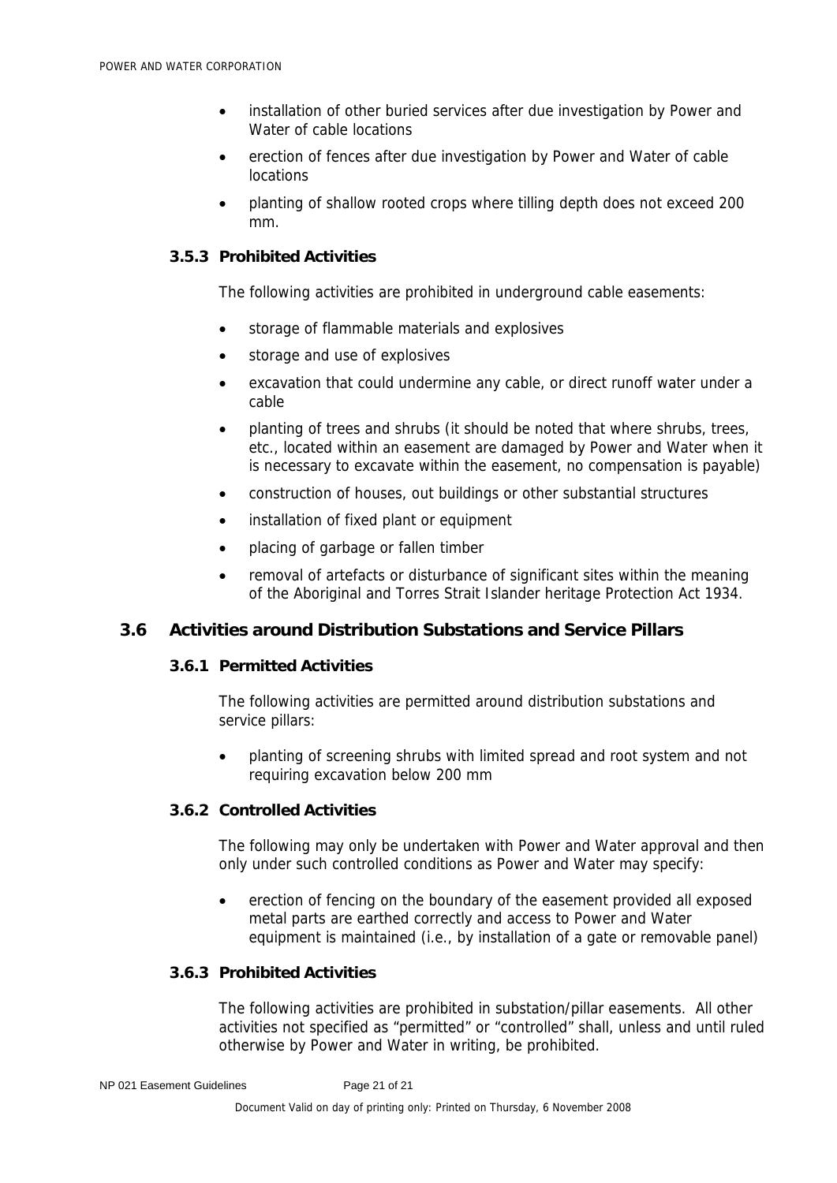- installation of other buried services after due investigation by Power and Water of cable locations
- erection of fences after due investigation by Power and Water of cable locations
- planting of shallow rooted crops where tilling depth does not exceed 200 mm.

#### **3.5.3 Prohibited Activities**

The following activities are prohibited in underground cable easements:

- storage of flammable materials and explosives
- storage and use of explosives
- excavation that could undermine any cable, or direct runoff water under a cable
- planting of trees and shrubs (it should be noted that where shrubs, trees, etc., located within an easement are damaged by Power and Water when it is necessary to excavate within the easement, no compensation is payable)
- construction of houses, out buildings or other substantial structures
- installation of fixed plant or equipment
- placing of garbage or fallen timber
- removal of artefacts or disturbance of significant sites within the meaning of the Aboriginal and Torres Strait Islander heritage Protection Act 1934.

## **3.6 Activities around Distribution Substations and Service Pillars**

#### **3.6.1 Permitted Activities**

The following activities are permitted around distribution substations and service pillars:

• planting of screening shrubs with limited spread and root system and not requiring excavation below 200 mm

## **3.6.2 Controlled Activities**

The following may only be undertaken with Power and Water approval and then only under such controlled conditions as Power and Water may specify:

• erection of fencing on the boundary of the easement provided all exposed metal parts are earthed correctly and access to Power and Water equipment is maintained (i.e., by installation of a gate or removable panel)

#### **3.6.3 Prohibited Activities**

The following activities are prohibited in substation/pillar easements. All other activities not specified as "permitted" or "controlled" shall, unless and until ruled otherwise by Power and Water in writing, be prohibited.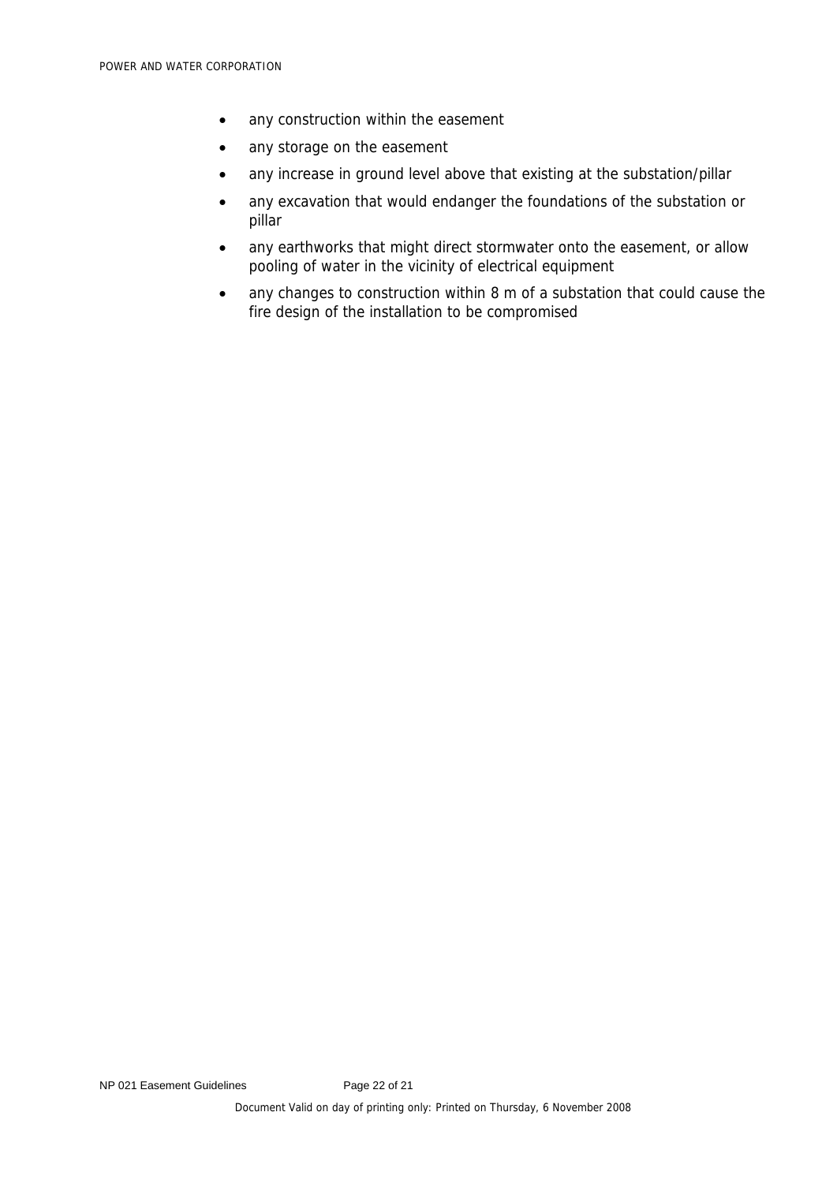- any construction within the easement
- any storage on the easement
- any increase in ground level above that existing at the substation/pillar
- any excavation that would endanger the foundations of the substation or pillar
- any earthworks that might direct stormwater onto the easement, or allow pooling of water in the vicinity of electrical equipment
- any changes to construction within 8 m of a substation that could cause the fire design of the installation to be compromised